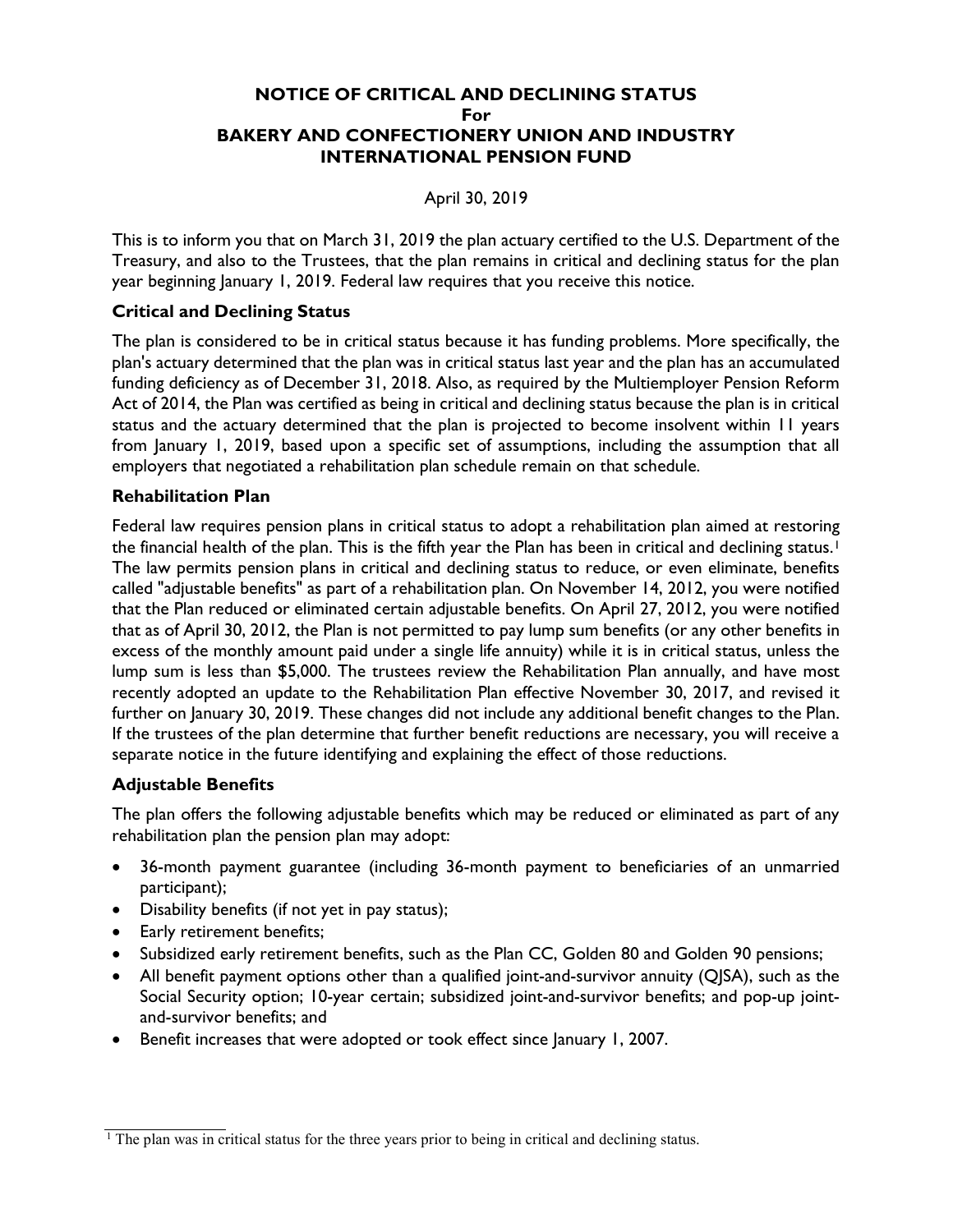## NOTICE OF CRITICAL AND DECLINING STATUS For BAKERY AND CONFECTIONERY UNION AND INDUSTRY INTERNATIONAL PENSION FUND

April 30, 2019

This is to inform you that on March 31, 2019 the plan actuary certified to the U.S. Department of the Treasury, and also to the Trustees, that the plan remains in critical and declining status for the plan year beginning January 1, 2019. Federal law requires that you receive this notice.

# Critical and Declining Status

The plan is considered to be in critical status because it has funding problems. More specifically, the plan's actuary determined that the plan was in critical status last year and the plan has an accumulated funding deficiency as of December 31, 2018. Also, as required by the Multiemployer Pension Reform Act of 2014, the Plan was certified as being in critical and declining status because the plan is in critical status and the actuary determined that the plan is projected to become insolvent within 11 years from January 1, 2019, based upon a specific set of assumptions, including the assumption that all employers that negotiated a rehabilitation plan schedule remain on that schedule.

### Rehabilitation Plan

Federal law requires pension plans in critical status to adopt a rehabilitation plan aimed at restoring the financial health of the plan. This is the fifth year the Plan has been in critical and declining status.<sup>1</sup> The law permits pension plans in critical and declining status to reduce, or even eliminate, benefits called "adjustable benefits" as part of a rehabilitation plan. On November 14, 2012, you were notified that the Plan reduced or eliminated certain adjustable benefits. On April 27, 2012, you were notified that as of April 30, 2012, the Plan is not permitted to pay lump sum benefits (or any other benefits in excess of the monthly amount paid under a single life annuity) while it is in critical status, unless the lump sum is less than \$5,000. The trustees review the Rehabilitation Plan annually, and have most recently adopted an update to the Rehabilitation Plan effective November 30, 2017, and revised it further on January 30, 2019. These changes did not include any additional benefit changes to the Plan. If the trustees of the plan determine that further benefit reductions are necessary, you will receive a separate notice in the future identifying and explaining the effect of those reductions.

# Adjustable Benefits

The plan offers the following adjustable benefits which may be reduced or eliminated as part of any rehabilitation plan the pension plan may adopt:

- 36-month payment guarantee (including 36-month payment to beneficiaries of an unmarried participant);
- Disability benefits (if not yet in pay status);
- Early retirement benefits;
- Subsidized early retirement benefits, such as the Plan CC, Golden 80 and Golden 90 pensions;
- All benefit payment options other than a qualified joint-and-survivor annuity (QJSA), such as the Social Security option; 10-year certain; subsidized joint-and-survivor benefits; and pop-up jointand-survivor benefits; and
- Benefit increases that were adopted or took effect since January 1, 2007.

<sup>&</sup>lt;sup>1</sup> The plan was in critical status for the three years prior to being in critical and declining status.